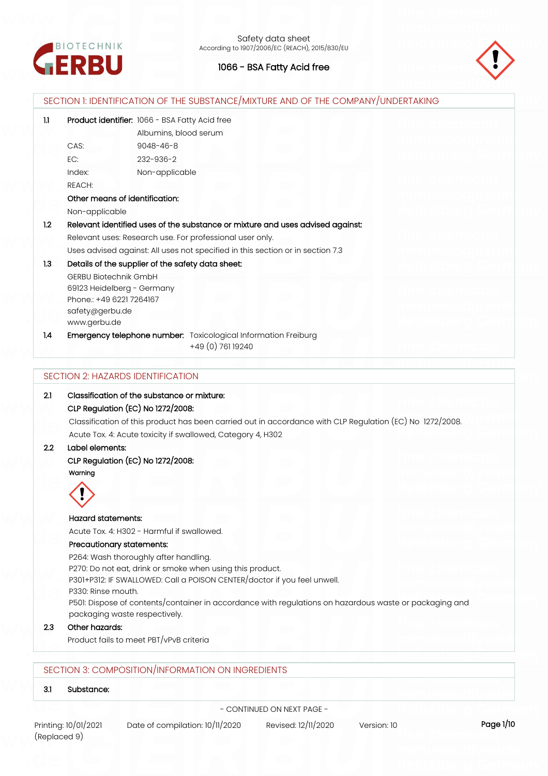



| 1.1 | Product identifier: 1066 - BSA Fatty Acid free                                                           |
|-----|----------------------------------------------------------------------------------------------------------|
|     | Albumins, blood serum                                                                                    |
|     | CAS:<br>$9048 - 46 - 8$                                                                                  |
|     | EC:<br>232-936-2                                                                                         |
|     | Index:<br>Non-applicable                                                                                 |
|     | REACH:                                                                                                   |
|     | Other means of identification:                                                                           |
|     | Non-applicable                                                                                           |
| 1.2 | Relevant identified uses of the substance or mixture and uses advised against:                           |
|     | Relevant uses: Research use. For professional user only.                                                 |
|     | Uses advised against: All uses not specified in this section or in section 7.3                           |
| 1.3 | Details of the supplier of the safety data sheet:                                                        |
|     | <b>GERBU Biotechnik GmbH</b>                                                                             |
|     | 69123 Heidelberg - Germany                                                                               |
|     | Phone: +49 6221 7264167                                                                                  |
|     | safety@gerbu.de                                                                                          |
|     | www.gerbu.de                                                                                             |
| 1.4 | Emergency telephone number: Toxicological Information Freiburg                                           |
|     | +49 (0) 761 19240                                                                                        |
|     | CLP Regulation (EC) No 1272/2008:                                                                        |
|     |                                                                                                          |
|     | Classification of this product has been carried out in accordance with CLP Regulation (EC) No 1272/2008. |
|     | Acute Tox. 4: Acute toxicity if swallowed, Category 4, H302                                              |
| 2.2 | Label elements:                                                                                          |
|     | CLP Regulation (EC) No 1272/2008:                                                                        |
|     | Warning                                                                                                  |
|     |                                                                                                          |
|     |                                                                                                          |
|     | $\ddot{\bullet}$                                                                                         |
|     | <b>Hazard statements:</b>                                                                                |
|     | Acute Tox. 4: H302 - Harmful if swallowed.                                                               |
|     | Precautionary statements:                                                                                |
|     | P264: Wash thoroughly after handling.                                                                    |
|     | P270: Do not eat, drink or smoke when using this product.                                                |
|     | P301+P312: IF SWALLOWED: Call a POISON CENTER/doctor if you feel unwell.                                 |
|     | P330: Rinse mouth.                                                                                       |
|     | P501: Dispose of contents/container in accordance with regulations on hazardous waste or packaging and   |
|     | packaging waste respectively.                                                                            |
| 2.3 | Other hazards:<br>Product fails to meet PBT/vPvB criteria                                                |

**3.1 Substance:**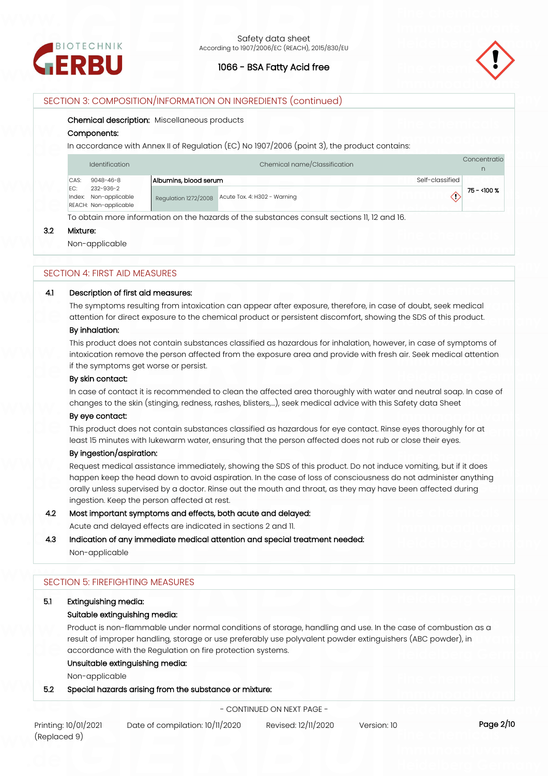



## SECTION 3: COMPOSITION/INFORMATION ON INGREDIENTS (continued)

#### **Chemical description:** Miscellaneous products

#### **Components:**

In accordance with Annex II of Regulation (EC) No 1907/2006 (point 3), the product contains:

|               | Chemical name/Classification<br><b>Identification</b> |                       |                              | Concentratio |
|---------------|-------------------------------------------------------|-----------------------|------------------------------|--------------|
| CAS:          | $9048 - 46 - 8$                                       | Albumins, blood serum | Self-classified              |              |
| FC:<br>Index: | 232-936-2<br>Non-applicable<br>REACH: Non-applicable  | Regulation 1272/2008  | Acute Tox. 4: H302 - Warning | 75 - <100 %  |

To obtain more information on the hazards of the substances consult sections 11, 12 and 16.

## **3.2 Mixture:**

Non-applicable

#### SECTION 4: FIRST AID MEASURES

#### **4.1 Description of first aid measures:**

The symptoms resulting from intoxication can appear after exposure, therefore, in case of doubt, seek medical attention for direct exposure to the chemical product or persistent discomfort, showing the SDS of this product.

#### **By inhalation:**

This product does not contain substances classified as hazardous for inhalation, however, in case of symptoms of intoxication remove the person affected from the exposure area and provide with fresh air. Seek medical attention if the symptoms get worse or persist.

### **By skin contact:**

In case of contact it is recommended to clean the affected area thoroughly with water and neutral soap. In case of changes to the skin (stinging, redness, rashes, blisters,…), seek medical advice with this Safety data Sheet

#### **By eye contact:**

This product does not contain substances classified as hazardous for eye contact. Rinse eyes thoroughly for at least 15 minutes with lukewarm water, ensuring that the person affected does not rub or close their eyes.

### **By ingestion/aspiration:**

Request medical assistance immediately, showing the SDS of this product. Do not induce vomiting, but if it does happen keep the head down to avoid aspiration. In the case of loss of consciousness do not administer anything orally unless supervised by a doctor. Rinse out the mouth and throat, as they may have been affected during ingestion. Keep the person affected at rest.

## **4.2 Most important symptoms and effects, both acute and delayed:**

Acute and delayed effects are indicated in sections 2 and 11.

# **4.3 Indication of any immediate medical attention and special treatment needed:**

Non-applicable

#### SECTION 5: FIREFIGHTING MEASURES

## **5.1 Extinguishing media:**

#### **Suitable extinguishing media:**

Product is non-flammable under normal conditions of storage, handling and use. In the case of combustion as a result of improper handling, storage or use preferably use polyvalent powder extinguishers (ABC powder), in accordance with the Regulation on fire protection systems.

## **Unsuitable extinguishing media:**

Non-applicable

#### **5.2 Special hazards arising from the substance or mixture:**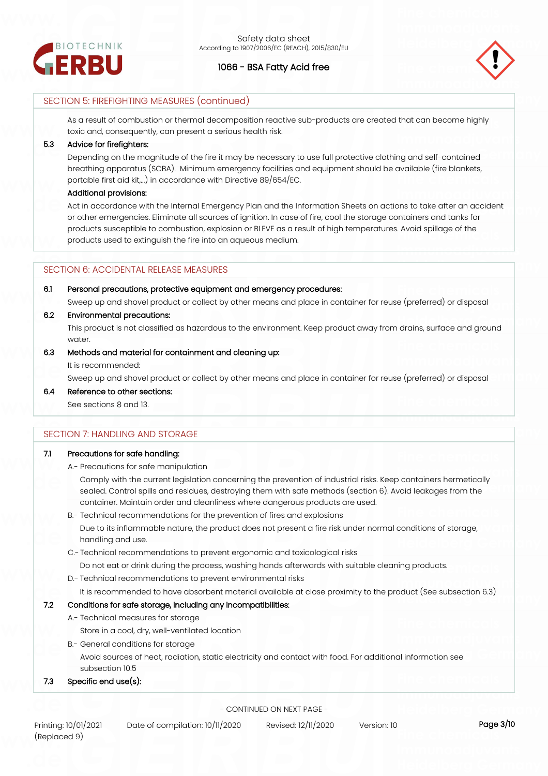



## SECTION 5: FIREFIGHTING MEASURES (continued)

As a result of combustion or thermal decomposition reactive sub-products are created that can become highly toxic and, consequently, can present a serious health risk.

#### **5.3 Advice for firefighters:**

Depending on the magnitude of the fire it may be necessary to use full protective clothing and self-contained breathing apparatus (SCBA). Minimum emergency facilities and equipment should be available (fire blankets, portable first aid kit,...) in accordance with Directive 89/654/EC.

#### **Additional provisions:**

Act in accordance with the Internal Emergency Plan and the Information Sheets on actions to take after an accident or other emergencies. Eliminate all sources of ignition. In case of fire, cool the storage containers and tanks for products susceptible to combustion, explosion or BLEVE as a result of high temperatures. Avoid spillage of the products used to extinguish the fire into an aqueous medium.

#### SECTION 6: ACCIDENTAL RELEASE MEASURES

### **6.1 Personal precautions, protective equipment and emergency procedures:**

Sweep up and shovel product or collect by other means and place in container for reuse (preferred) or disposal

## **6.2 Environmental precautions:**

This product is not classified as hazardous to the environment. Keep product away from drains, surface and ground water.

### **6.3 Methods and material for containment and cleaning up:**

It is recommended:

Sweep up and shovel product or collect by other means and place in container for reuse (preferred) or disposal

**6.4 Reference to other sections:** See sections 8 and 13.

## SECTION 7: HANDLING AND STORAGE

## **7.1 Precautions for safe handling:**

A.- Precautions for safe manipulation

Comply with the current legislation concerning the prevention of industrial risks. Keep containers hermetically sealed. Control spills and residues, destroying them with safe methods (section 6). Avoid leakages from the container. Maintain order and cleanliness where dangerous products are used.

B.- Technical recommendations for the prevention of fires and explosions

Due to its inflammable nature, the product does not present a fire risk under normal conditions of storage, handling and use.

- C.- Technical recommendations to prevent ergonomic and toxicological risks
	- Do not eat or drink during the process, washing hands afterwards with suitable cleaning products.
- D.- Technical recommendations to prevent environmental risks

It is recommended to have absorbent material available at close proximity to the product (See subsection 6.3)

## **7.2 Conditions for safe storage, including any incompatibilities:**

A.- Technical measures for storage

Store in a cool, dry, well-ventilated location

B.- General conditions for storage Avoid sources of heat, radiation, static electricity and contact with food. For additional information see subsection 10.5

## **7.3 Specific end use(s):**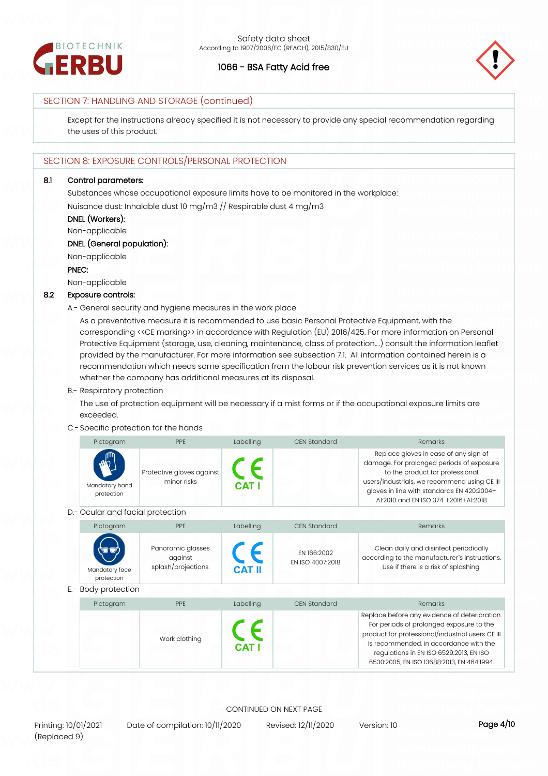



## SECTION 7: HANDLING AND STORAGE (continued)

Except for the instructions already specified it is not necessary to provide any special recommendation regarding the uses of this product.

## SECTION 8: EXPOSURE CONTROLS/PERSONAL PROTECTION

#### **8.1 Control parameters:**

Substances whose occupational exposure limits have to be monitored in the workplace: Nuisance dust: Inhalable dust 10 mg/m3 // Respirable dust 4 mg/m3

## **DNEL (Workers):**

Non-applicable

## **DNEL (General population):**

Non-applicable

#### **PNEC:**

Non-applicable

#### **8.2 Exposure controls:**

A.- General security and hygiene measures in the work place

As a preventative measure it is recommended to use basic Personal Protective Equipment, with the corresponding <<CE marking>> in accordance with Regulation (EU) 2016/425. For more information on Personal Protective Equipment (storage, use, cleaning, maintenance, class of protection,…) consult the information leaflet provided by the manufacturer. For more information see subsection 7.1. All information contained herein is a recommendation which needs some specification from the labour risk prevention services as it is not known whether the company has additional measures at its disposal.

#### B.- Respiratory protection

The use of protection equipment will be necessary if a mist forms or if the occupational exposure limits are exceeded.

## C.- Specific protection for the hands

| Pictogram                                 | <b>PPF</b>                               | Labelling    | <b>CEN Standard</b> | Remarks                                                                                                                                                                                                                                                      |
|-------------------------------------------|------------------------------------------|--------------|---------------------|--------------------------------------------------------------------------------------------------------------------------------------------------------------------------------------------------------------------------------------------------------------|
| <b>My</b><br>Mandatory hand<br>protection | Protective gloves against<br>minor risks | <b>CAT I</b> |                     | Replace gloves in case of any sign of<br>damage. For prolonged periods of exposure<br>to the product for professional<br>users/industrials, we recommend using CE III<br>gloves in line with standards EN 420:2004+<br>A1:2010 and EN ISO 374-1:2016+A1:2018 |

#### D.- Ocular and facial protection

| Pictogram                    | <b>PPF</b>                                          | Labelling           | CFN Standard                    | Remarks                                                                                                                                                                                                                                                                          |
|------------------------------|-----------------------------------------------------|---------------------|---------------------------------|----------------------------------------------------------------------------------------------------------------------------------------------------------------------------------------------------------------------------------------------------------------------------------|
| Mandatory face<br>protection | Panoramic glasses<br>against<br>splash/projections. | $C_{\text{CAT II}}$ | EN 166:2002<br>FN ISO 4007:2018 | Clean daily and disinfect periodically<br>according to the manufacturer's instructions.<br>Use if there is a risk of splashing.                                                                                                                                                  |
| E .- Body protection         |                                                     |                     |                                 |                                                                                                                                                                                                                                                                                  |
| Pictogram                    | PPE                                                 | Labelling           | <b>CEN Standard</b>             | Remarks                                                                                                                                                                                                                                                                          |
|                              | Work clothing                                       | <b>CAT I</b>        |                                 | Replace before any evidence of deterioration.<br>For periods of prolonged exposure to the<br>product for professional/industrial users CE III<br>is recommended, in accordance with the<br>regulations in EN ISO 6529:2013, EN ISO<br>6530:2005, EN ISO 13688:2013, EN 464:1994. |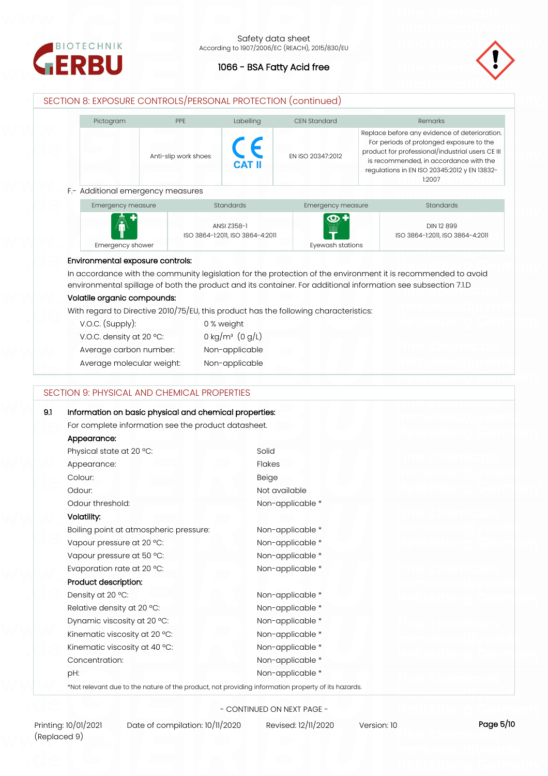



## SECTION 8: EXPOSURE CONTROLS/PERSONAL PROTECTION (continued)

| Pictogram | <b>PPF</b>           | Labelling     | CFN Standard      | <b>Remarks</b>                                                                                                                                                                                                                                    |
|-----------|----------------------|---------------|-------------------|---------------------------------------------------------------------------------------------------------------------------------------------------------------------------------------------------------------------------------------------------|
|           | Anti-slip work shoes | <b>CAT II</b> | FN ISO 20347:2012 | Replace before any evidence of deterioration.<br>For periods of prolonged exposure to the<br>product for professional/industrial users CE III<br>is recommended, in accordance with the<br>regulations in EN ISO 20345:2012 y EN 13832-<br>1:2007 |

| Emergency measure | <b>Standards</b>                 | Emergency measure | <b>Standards</b>                 |
|-------------------|----------------------------------|-------------------|----------------------------------|
| A                 |                                  | $\Theta$ +        |                                  |
|                   | ANSI Z358-1                      | .<br><br><br>E    | DIN 12 899                       |
|                   | ISO 3864-1:2011, ISO 3864-4:2011 |                   | ISO 3864-1:2011, ISO 3864-4:2011 |
| Emergency shower  |                                  | Evewash stations  |                                  |

#### **Environmental exposure controls:**

In accordance with the community legislation for the protection of the environment it is recommended to avoid environmental spillage of both the product and its container. For additional information see subsection 7.1.D

## **Volatile organic compounds:**

With regard to Directive 2010/75/EU, this product has the following characteristics:

| $V.O.C.$ (Supply):        | 0 % weight                    |
|---------------------------|-------------------------------|
| V.O.C. density at 20 °C:  | 0 kg/m <sup>3</sup> $(0 g/L)$ |
| Average carbon number:    | Non-applicable                |
| Average molecular weight: | Non-applicable                |

#### SECTION 9: PHYSICAL AND CHEMICAL PROPERTIES

| 9.1<br>Information on basic physical and chemical properties:                                      |                  |  |
|----------------------------------------------------------------------------------------------------|------------------|--|
| For complete information see the product datasheet.                                                |                  |  |
| Appearance:                                                                                        |                  |  |
| Physical state at 20 °C:                                                                           | Solid            |  |
| Appearance:                                                                                        | <b>Flakes</b>    |  |
| Colour:                                                                                            | Beige            |  |
| Odour:                                                                                             | Not available    |  |
| Odour threshold:                                                                                   | Non-applicable * |  |
| Volatility:                                                                                        |                  |  |
| Boiling point at atmospheric pressure:                                                             | Non-applicable * |  |
| Vapour pressure at 20 °C:                                                                          | Non-applicable * |  |
| Vapour pressure at 50 °C:                                                                          | Non-applicable * |  |
| Evaporation rate at 20 °C:                                                                         | Non-applicable * |  |
| Product description:                                                                               |                  |  |
| Density at 20 °C:                                                                                  | Non-applicable * |  |
| Relative density at 20 °C:                                                                         | Non-applicable * |  |
| Dynamic viscosity at 20 °C:                                                                        | Non-applicable * |  |
| Kinematic viscosity at 20 °C:                                                                      | Non-applicable * |  |
| Kinematic viscosity at 40 °C:                                                                      | Non-applicable * |  |
| Concentration:                                                                                     | Non-applicable * |  |
| pH:                                                                                                | Non-applicable * |  |
| *Not relevant due to the nature of the product, not providing information property of its hazards. |                  |  |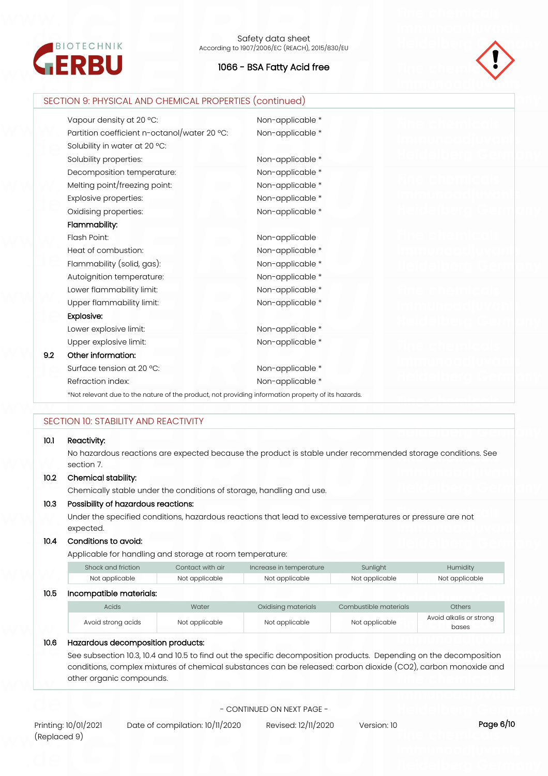



|      | SECTION 9: PHYSICAL AND CHEMICAL PROPERTIES (continued)                                            |                                                                                                             |
|------|----------------------------------------------------------------------------------------------------|-------------------------------------------------------------------------------------------------------------|
|      | Vapour density at 20 °C:                                                                           | Non-applicable *                                                                                            |
|      | Partition coefficient n-octanol/water 20 °C:                                                       | Non-applicable *                                                                                            |
|      | Solubility in water at 20 °C:                                                                      |                                                                                                             |
|      | Solubility properties:                                                                             | Non-applicable *                                                                                            |
|      | Decomposition temperature:                                                                         | Non-applicable *                                                                                            |
|      | Melting point/freezing point:                                                                      | Non-applicable *                                                                                            |
|      | Explosive properties:                                                                              | Non-applicable *                                                                                            |
|      | Oxidising properties:                                                                              | Non-applicable *                                                                                            |
|      | Flammability:                                                                                      |                                                                                                             |
|      | Flash Point:                                                                                       | Non-applicable                                                                                              |
|      | Heat of combustion:                                                                                | Non-applicable *                                                                                            |
|      | Flammability (solid, gas):                                                                         | Non-applicable *                                                                                            |
|      | Autoignition temperature:                                                                          | Non-applicable *                                                                                            |
|      | Lower flammability limit:                                                                          | Non-applicable *                                                                                            |
|      | Upper flammability limit:                                                                          | Non-applicable *                                                                                            |
|      | <b>Explosive:</b>                                                                                  |                                                                                                             |
|      | Lower explosive limit:                                                                             | Non-applicable *                                                                                            |
|      | Upper explosive limit:                                                                             | Non-applicable *                                                                                            |
| 9.2  | Other information:                                                                                 |                                                                                                             |
|      | Surface tension at 20 °C:                                                                          | Non-applicable *                                                                                            |
|      | Refraction index:                                                                                  | Non-applicable *                                                                                            |
|      | *Not relevant due to the nature of the product, not providing information property of its hazards. |                                                                                                             |
|      |                                                                                                    |                                                                                                             |
|      | SECTION 10: STABILITY AND REACTIVITY                                                               |                                                                                                             |
| 10.1 | Reactivity:                                                                                        |                                                                                                             |
|      |                                                                                                    | No hazardous reactions are expected because the product is stable under recommended storage conditions. See |
|      | section 7.                                                                                         |                                                                                                             |
| 10.2 | Chemical stability:                                                                                |                                                                                                             |
|      | Chemically stable under the conditions of storage, handling and use.                               |                                                                                                             |
| 10.3 | Possibility of hazardous reactions:                                                                |                                                                                                             |
|      | expected.                                                                                          | Under the specified conditions, hazardous reactions that lead to excessive temperatures or pressure are not |
| 10.4 | Conditions to avoid:                                                                               |                                                                                                             |
|      | Applicable for handling and storage at room temperature:                                           |                                                                                                             |

|      | Shock and friction      | Contact with air | Increase in temperature | Sunlight              | Humidity                         |
|------|-------------------------|------------------|-------------------------|-----------------------|----------------------------------|
|      | Not applicable          | Not applicable   | Not applicable          | Not applicable        | Not applicable                   |
| 10.5 | Incompatible materials: |                  |                         |                       |                                  |
|      | Acids                   | Water            | Oxidising materials     | Combustible materials | <b>Others</b>                    |
|      | Avoid strong acids      | Not applicable   | Not applicable          | Not applicable        | Avoid alkalis or strong<br>bases |

## **10.6 Hazardous decomposition products:**

See subsection 10.3, 10.4 and 10.5 to find out the specific decomposition products. Depending on the decomposition conditions, complex mixtures of chemical substances can be released: carbon dioxide (CO2), carbon monoxide and other organic compounds.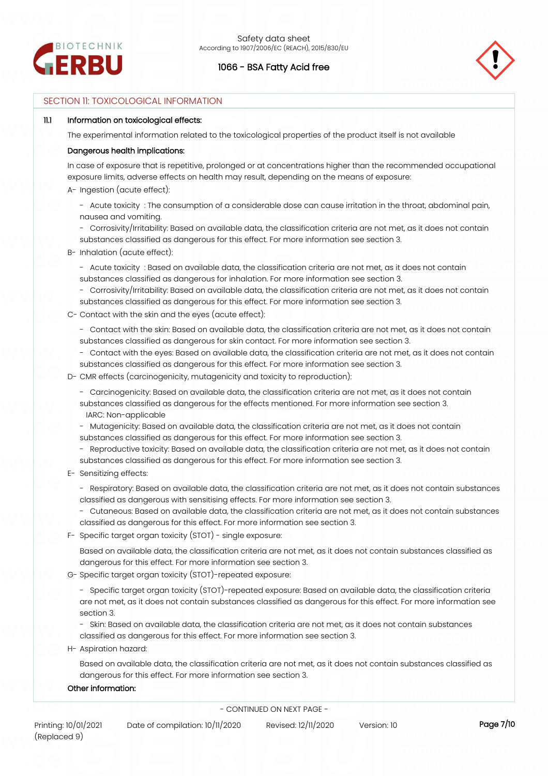



## SECTION 11: TOXICOLOGICAL INFORMATION

#### **11.1 Information on toxicological effects:**

The experimental information related to the toxicological properties of the product itself is not available

#### **Dangerous health implications:**

In case of exposure that is repetitive, prolonged or at concentrations higher than the recommended occupational exposure limits, adverse effects on health may result, depending on the means of exposure:

- A- Ingestion (acute effect):
	- Acute toxicity : The consumption of a considerable dose can cause irritation in the throat, abdominal pain, nausea and vomiting.
	- Corrosivity/Irritability: Based on available data, the classification criteria are not met, as it does not contain substances classified as dangerous for this effect. For more information see section 3.
- B- Inhalation (acute effect):
	- Acute toxicity : Based on available data, the classification criteria are not met, as it does not contain substances classified as dangerous for inhalation. For more information see section 3.
	- Corrosivity/Irritability: Based on available data, the classification criteria are not met, as it does not contain substances classified as dangerous for this effect. For more information see section 3.
- C- Contact with the skin and the eyes (acute effect):
	- Contact with the skin: Based on available data, the classification criteria are not met, as it does not contain substances classified as dangerous for skin contact. For more information see section 3.
	- Contact with the eyes: Based on available data, the classification criteria are not met, as it does not contain substances classified as dangerous for this effect. For more information see section 3.
- D- CMR effects (carcinogenicity, mutagenicity and toxicity to reproduction):
	- Carcinogenicity: Based on available data, the classification criteria are not met, as it does not contain
	- substances classified as dangerous for the effects mentioned. For more information see section 3. IARC: Non-applicable
	- Mutagenicity: Based on available data, the classification criteria are not met, as it does not contain substances classified as dangerous for this effect. For more information see section 3.
	- Reproductive toxicity: Based on available data, the classification criteria are not met, as it does not contain substances classified as dangerous for this effect. For more information see section 3.
- E- Sensitizing effects:
	- Respiratory: Based on available data, the classification criteria are not met, as it does not contain substances classified as dangerous with sensitising effects. For more information see section 3.
	- Cutaneous: Based on available data, the classification criteria are not met, as it does not contain substances classified as dangerous for this effect. For more information see section 3.
- F- Specific target organ toxicity (STOT) single exposure:
	- Based on available data, the classification criteria are not met, as it does not contain substances classified as dangerous for this effect. For more information see section 3.
- G- Specific target organ toxicity (STOT)-repeated exposure:
	- Specific target organ toxicity (STOT)-repeated exposure: Based on available data, the classification criteria are not met, as it does not contain substances classified as dangerous for this effect. For more information see section 3.
	- Skin: Based on available data, the classification criteria are not met, as it does not contain substances classified as dangerous for this effect. For more information see section 3.
- H- Aspiration hazard:
	- Based on available data, the classification criteria are not met, as it does not contain substances classified as dangerous for this effect. For more information see section 3.

#### **Other information:**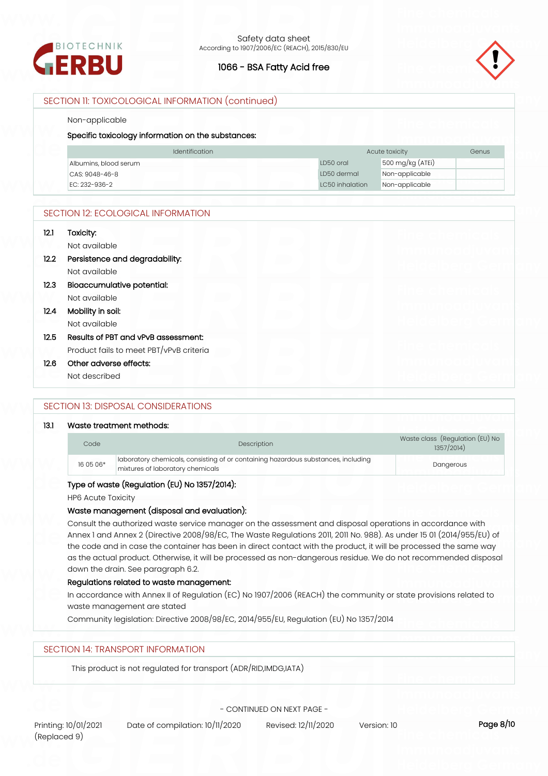



## SECTION 11: TOXICOLOGICAL INFORMATION (continued)

#### Non-applicable

## **Specific toxicology information on the substances:**

| <b>Identification</b> |                 | Acute toxicity<br><b>Genus</b> |  |
|-----------------------|-----------------|--------------------------------|--|
| Albumins, blood serum | LD50 oral       | $500 \,\mathrm{mg/kg}$ (ATEI)  |  |
| CAS: 9048-46-8        | LD50 dermal     | Non-applicable                 |  |
| FC: 232-936-2         | LC50 inhalation | Non-applicable                 |  |

## SECTION 12: ECOLOGICAL INFORMATION

| 12.1 | Toxicity:<br>Not available              |  |
|------|-----------------------------------------|--|
| 12.2 | Persistence and degradability:          |  |
|      | Not available                           |  |
| 12.3 | Bioaccumulative potential:              |  |
|      | Not available                           |  |
| 12.4 | Mobility in soil:                       |  |
|      | Not available                           |  |
| 12.5 | Results of PBT and vPvB assessment:     |  |
|      | Product fails to meet PBT/vPvB criteria |  |
| 12.6 | Other adverse effects:                  |  |
|      | Not described                           |  |

## SECTION 13: DISPOSAL CONSIDERATIONS

#### **13.1 Waste treatment methods:**

| Code      | <b>Description</b>                                                                                                    | Waste class (Regulation (EU) No<br>1357/2014) |
|-----------|-----------------------------------------------------------------------------------------------------------------------|-----------------------------------------------|
| 16 05 06* | Idboratory chemicals, consisting of or containing hazardous substances, including<br>mixtures of laboratory chemicals | Dangerous                                     |

## **Type of waste (Regulation (EU) No 1357/2014):**

HP6 Acute Toxicity

#### **Waste management (disposal and evaluation):**

Consult the authorized waste service manager on the assessment and disposal operations in accordance with Annex 1 and Annex 2 (Directive 2008/98/EC, The Waste Regulations 2011, 2011 No. 988). As under 15 01 (2014/955/EU) of the code and in case the container has been in direct contact with the product, it will be processed the same way as the actual product. Otherwise, it will be processed as non-dangerous residue. We do not recommended disposal down the drain. See paragraph 6.2.

#### **Regulations related to waste management:**

In accordance with Annex II of Regulation (EC) No 1907/2006 (REACH) the community or state provisions related to waste management are stated

Community legislation: Directive 2008/98/EC, 2014/955/EU, Regulation (EU) No 1357/2014

## SECTION 14: TRANSPORT INFORMATION

This product is not regulated for transport (ADR/RID,IMDG,IATA)

- CONTINUED ON NEXT PAGE -

Printing: 10/01/2021 Date of compilation: 10/11/2020 Revised: 12/11/2020 Version: 10 **Page 8/10**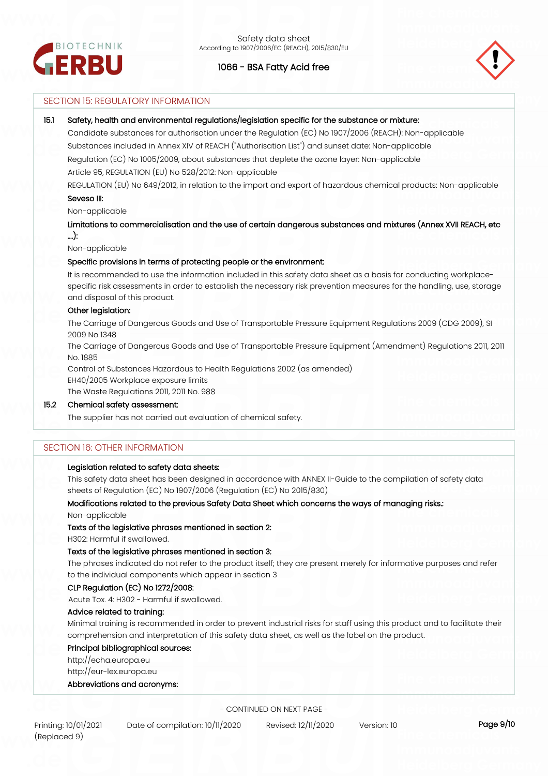



## SECTION 15: REGULATORY INFORMATION

#### **15.1 Safety, health and environmental regulations/legislation specific for the substance or mixture:**

Candidate substances for authorisation under the Regulation (EC) No 1907/2006 (REACH): Non-applicable Substances included in Annex XIV of REACH ("Authorisation List") and sunset date: Non-applicable Regulation (EC) No 1005/2009, about substances that deplete the ozone layer: Non-applicable Article 95, REGULATION (EU) No 528/2012: Non-applicable

REGULATION (EU) No 649/2012, in relation to the import and export of hazardous chemical products: Non-applicable

### **Seveso III:**

Non-applicable

**Limitations to commercialisation and the use of certain dangerous substances and mixtures (Annex XVII REACH, etc ….):**

Non-applicable

#### **Specific provisions in terms of protecting people or the environment:**

It is recommended to use the information included in this safety data sheet as a basis for conducting workplacespecific risk assessments in order to establish the necessary risk prevention measures for the handling, use, storage and disposal of this product.

#### **Other legislation:**

The Carriage of Dangerous Goods and Use of Transportable Pressure Equipment Regulations 2009 (CDG 2009), SI 2009 No 1348

The Carriage of Dangerous Goods and Use of Transportable Pressure Equipment (Amendment) Regulations 2011, 2011 No. 1885

Control of Substances Hazardous to Health Regulations 2002 (as amended)

EH40/2005 Workplace exposure limits

The Waste Regulations 2011, 2011 No. 988

#### **15.2 Chemical safety assessment:**

The supplier has not carried out evaluation of chemical safety.

## SECTION 16: OTHER INFORMATION

#### **Legislation related to safety data sheets:**

This safety data sheet has been designed in accordance with ANNEX II-Guide to the compilation of safety data sheets of Regulation (EC) No 1907/2006 (Regulation (EC) No 2015/830)

#### **Modifications related to the previous Safety Data Sheet which concerns the ways of managing risks.:**

Non-applicable

#### **Texts of the legislative phrases mentioned in section 2:**

H302: Harmful if swallowed.

#### **Texts of the legislative phrases mentioned in section 3:**

The phrases indicated do not refer to the product itself; they are present merely for informative purposes and refer to the individual components which appear in section 3

#### **CLP Regulation (EC) No 1272/2008:**

Acute Tox. 4: H302 - Harmful if swallowed.

## **Advice related to training:**

Minimal training is recommended in order to prevent industrial risks for staff using this product and to facilitate their comprehension and interpretation of this safety data sheet, as well as the label on the product.

#### **Principal bibliographical sources:**

http://echa.europa.eu

http://eur-lex.europa.eu

#### **Abbreviations and acronyms:**

- CONTINUED ON NEXT PAGE -

Printing: 10/01/2021 Date of compilation: 10/11/2020 Revised: 12/11/2020 Version: 10 **Page 9/10**